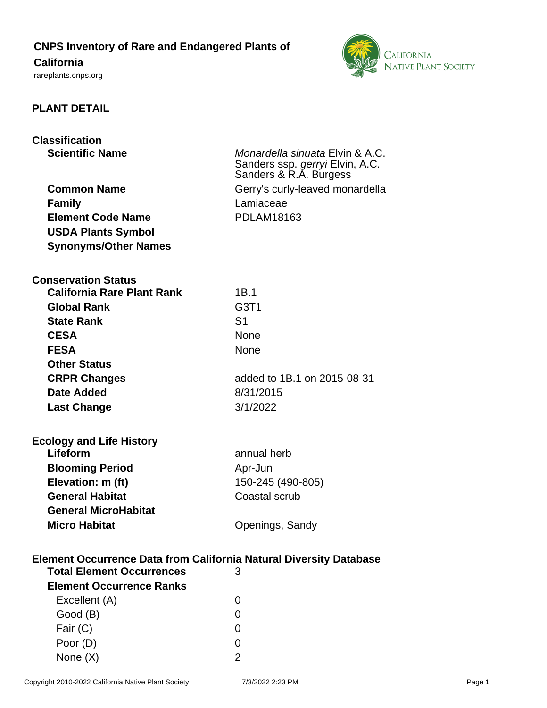# **CNPS Inventory of Rare and Endangered Plants of**

# **California**

<rareplants.cnps.org>



# **PLANT DETAIL**

# **Classification**

| <b>Common Name</b>          |
|-----------------------------|
| <b>Family</b>               |
| <b>Element Code Name</b>    |
| <b>USDA Plants Symbol</b>   |
| <b>Synonyms/Other Names</b> |
|                             |

**Scientific Name** Monardella sinuata Elvin & A.C. Sanders ssp. gerryi Elvin, A.C. Sanders & R.A. Burgess Gerry's curly-leaved monardella Lamiaceae **Element Code Name** PDLAM18163

#### **Conservation Status**

| <b>California Rare Plant Rank</b> | 1B.1                          |
|-----------------------------------|-------------------------------|
| <b>Global Rank</b>                | G <sub>3</sub> T <sub>1</sub> |
| <b>State Rank</b>                 | S <sub>1</sub>                |
| <b>CESA</b>                       | <b>None</b>                   |
| <b>FESA</b>                       | <b>None</b>                   |
| <b>Other Status</b>               |                               |
| <b>CRPR Changes</b>               | added to 1B.1 on 2015-08-31   |
| Date Added                        | 8/31/2015                     |
| <b>Last Change</b>                | 3/1/2022                      |
|                                   |                               |

| <b>Ecology and Life History</b> |                   |
|---------------------------------|-------------------|
| Lifeform                        | annual herb       |
| <b>Blooming Period</b>          | Apr-Jun           |
| Elevation: m (ft)               | 150-245 (490-805) |
| <b>General Habitat</b>          | Coastal scrub     |
| <b>General MicroHabitat</b>     |                   |
| <b>Micro Habitat</b>            | Openings, Sandy   |

### **Element Occurrence Data from California Natural Diversity Database**

| <b>Total Element Occurrences</b> | 3 |
|----------------------------------|---|
| <b>Element Occurrence Ranks</b>  |   |
| Excellent (A)                    |   |
| Good (B)                         |   |
| Fair $(C)$                       |   |
| Poor (D)                         |   |
| None $(X)$                       |   |